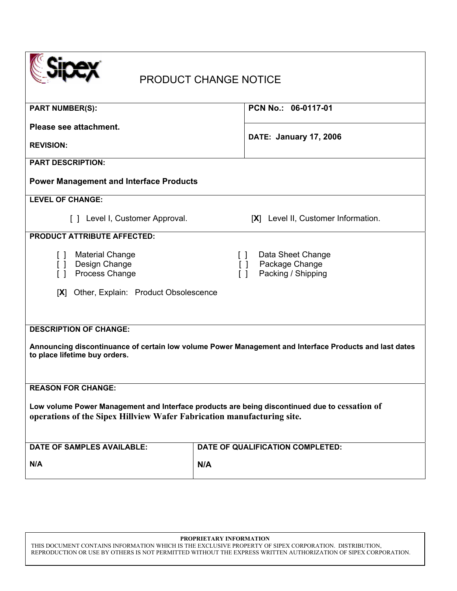|--|

# PRODUCT CHANGE NOTICE

| <b>PART NUMBER(S):</b>                                                                                                                                                   | PCN No.: 06-0117-01                                                                     |  |  |
|--------------------------------------------------------------------------------------------------------------------------------------------------------------------------|-----------------------------------------------------------------------------------------|--|--|
| Please see attachment.                                                                                                                                                   |                                                                                         |  |  |
| <b>REVISION:</b>                                                                                                                                                         | <b>DATE: January 17, 2006</b>                                                           |  |  |
| <b>PART DESCRIPTION:</b>                                                                                                                                                 |                                                                                         |  |  |
| <b>Power Management and Interface Products</b>                                                                                                                           |                                                                                         |  |  |
| <b>LEVEL OF CHANGE:</b>                                                                                                                                                  |                                                                                         |  |  |
| [ ] Level I, Customer Approval.                                                                                                                                          | [X] Level II, Customer Information.                                                     |  |  |
| <b>PRODUCT ATTRIBUTE AFFECTED:</b>                                                                                                                                       |                                                                                         |  |  |
| <b>Material Change</b><br>$\left[ \quad \right]$<br>Design Change<br>$\Box$<br>Process Change<br>$\Box$<br>[X] Other, Explain: Product Obsolescence                      | Data Sheet Change<br>$\Box$<br>Package Change<br>$\Box$<br>Packing / Shipping<br>$\Box$ |  |  |
| <b>DESCRIPTION OF CHANGE:</b><br>Announcing discontinuance of certain low volume Power Management and Interface Products and last dates<br>to place lifetime buy orders. |                                                                                         |  |  |
| <b>REASON FOR CHANGE:</b>                                                                                                                                                |                                                                                         |  |  |
| Low volume Power Management and Interface products are being discontinued due to cessation of<br>operations of the Sipex Hillview Wafer Fabrication manufacturing site.  |                                                                                         |  |  |
| <b>DATE OF SAMPLES AVAILABLE:</b>                                                                                                                                        | DATE OF QUALIFICATION COMPLETED:                                                        |  |  |
| N/A                                                                                                                                                                      | N/A                                                                                     |  |  |

#### **PROPRIETARY INFORMATION**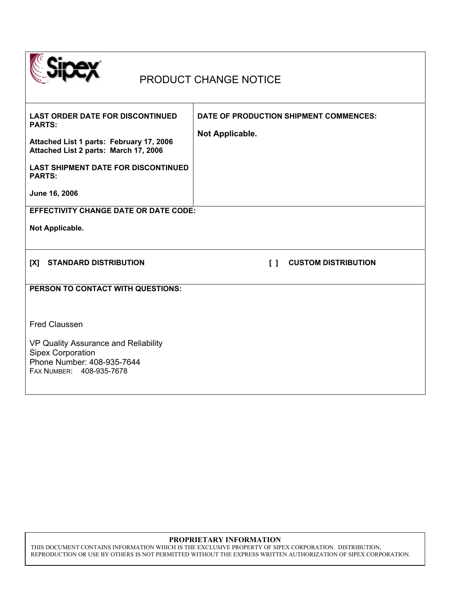

## PRODUCT CHANGE NOTICE

| <b>LAST ORDER DATE FOR DISCONTINUED</b><br><b>PARTS:</b><br>Attached List 1 parts: February 17, 2006<br>Attached List 2 parts: March 17, 2006<br><b>LAST SHIPMENT DATE FOR DISCONTINUED</b><br><b>PARTS:</b><br>June 16, 2006<br><b>EFFECTIVITY CHANGE DATE OR DATE CODE:</b> | DATE OF PRODUCTION SHIPMENT COMMENCES:<br>Not Applicable.             |
|-------------------------------------------------------------------------------------------------------------------------------------------------------------------------------------------------------------------------------------------------------------------------------|-----------------------------------------------------------------------|
| Not Applicable.                                                                                                                                                                                                                                                               |                                                                       |
|                                                                                                                                                                                                                                                                               |                                                                       |
| <b>STANDARD DISTRIBUTION</b><br>[X]                                                                                                                                                                                                                                           | <b>CUSTOM DISTRIBUTION</b><br>$\begin{smallmatrix}1\end{smallmatrix}$ |
| PERSON TO CONTACT WITH QUESTIONS:                                                                                                                                                                                                                                             |                                                                       |
|                                                                                                                                                                                                                                                                               |                                                                       |
| <b>Fred Claussen</b>                                                                                                                                                                                                                                                          |                                                                       |
| VP Quality Assurance and Reliability<br><b>Sipex Corporation</b><br>Phone Number: 408-935-7644<br>FAX NUMBER: 408-935-7678                                                                                                                                                    |                                                                       |

### **PROPRIETARY INFORMATION**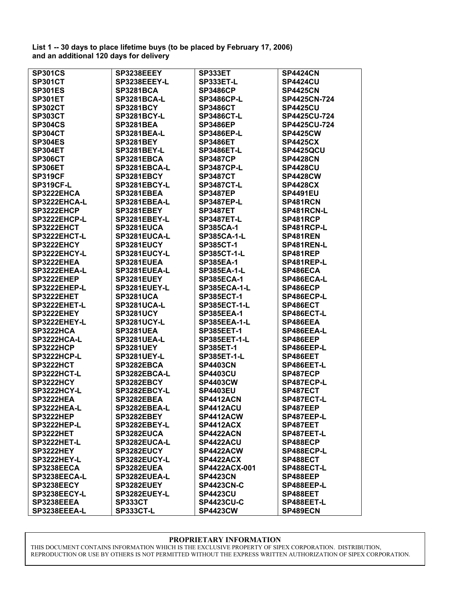**List 1 -- 30 days to place lifetime buys (to be placed by February 17, 2006) and an additional 120 days for delivery**

| <b>SP301CS</b>     | SP3238EEEY         | SP333ET             | <b>SP4424CN</b> |
|--------------------|--------------------|---------------------|-----------------|
| <b>SP301CT</b>     | SP3238EEEY-L       | SP333ET-L           | <b>SP4424CU</b> |
| <b>SP301ES</b>     | <b>SP3281BCA</b>   | <b>SP3486CP</b>     | <b>SP4425CN</b> |
| <b>SP301ET</b>     | <b>SP3281BCA-L</b> | <b>SP3486CP-L</b>   | SP4425CN-724    |
| <b>SP302CT</b>     | <b>SP3281BCY</b>   | <b>SP3486CT</b>     | <b>SP4425CU</b> |
| <b>SP303CT</b>     | <b>SP3281BCY-L</b> | <b>SP3486CT-L</b>   | SP4425CU-724    |
| <b>SP304CS</b>     | <b>SP3281BEA</b>   | <b>SP3486EP</b>     | SP4425CU-724    |
| <b>SP304CT</b>     | <b>SP3281BEA-L</b> | <b>SP3486EP-L</b>   | <b>SP4425CW</b> |
| <b>SP304ES</b>     | <b>SP3281BEY</b>   | <b>SP3486ET</b>     | <b>SP4425CX</b> |
| <b>SP304ET</b>     | <b>SP3281BEY-L</b> | <b>SP3486ET-L</b>   | SP4425QCU       |
| <b>SP306CT</b>     | SP3281EBCA         | <b>SP3487CP</b>     | <b>SP4428CN</b> |
| <b>SP306ET</b>     | SP3281EBCA-L       | <b>SP3487CP-L</b>   | <b>SP4428CU</b> |
| <b>SP319CF</b>     | SP3281EBCY         | <b>SP3487CT</b>     | <b>SP4428CW</b> |
| <b>SP319CF-L</b>   | SP3281EBCY-L       | <b>SP3487CT-L</b>   | <b>SP4428CX</b> |
| SP3222EHCA         | SP3281EBEA         | <b>SP3487EP</b>     | <b>SP4491EU</b> |
| SP3222EHCA-L       | SP3281EBEA-L       | <b>SP3487EP-L</b>   | SP481RCN        |
| SP3222EHCP         | SP3281EBEY         | <b>SP3487ET</b>     | SP481RCN-L      |
| SP3222EHCP-L       | SP3281EBEY-L       | <b>SP3487ET-L</b>   | SP481RCP        |
| SP3222EHCT         | SP3281EUCA         | <b>SP385CA-1</b>    | SP481RCP-L      |
| SP3222EHCT-L       | SP3281EUCA-L       | <b>SP385CA-1-L</b>  | SP481REN        |
| SP3222EHCY         | SP3281EUCY         | <b>SP385CT-1</b>    | SP481REN-L      |
| SP3222EHCY-L       | SP3281EUCY-L       | <b>SP385CT-1-L</b>  | SP481REP        |
| SP3222EHEA         | SP3281EUEA         | <b>SP385EA-1</b>    | SP481REP-L      |
| SP3222EHEA-L       | SP3281EUEA-L       | <b>SP385EA-1-L</b>  | SP486ECA        |
| SP3222EHEP         | SP3281EUEY         | <b>SP385ECA-1</b>   | SP486ECA-L      |
| SP3222EHEP-L       | SP3281EUEY-L       | <b>SP385ECA-1-L</b> | SP486ECP        |
| SP3222EHET         | <b>SP3281UCA</b>   | <b>SP385ECT-1</b>   | SP486ECP-L      |
| SP3222EHET-L       | <b>SP3281UCA-L</b> | <b>SP385ECT-1-L</b> | SP486ECT        |
| SP3222EHEY         | <b>SP3281UCY</b>   | <b>SP385EEA-1</b>   | SP486ECT-L      |
| SP3222EHEY-L       | <b>SP3281UCY-L</b> | <b>SP385EEA-1-L</b> | SP486EEA        |
| SP3222HCA          | <b>SP3281UEA</b>   | <b>SP385EET-1</b>   | SP486EEA-L      |
| SP3222HCA-L        | <b>SP3281UEA-L</b> | <b>SP385EET-1-L</b> | SP486EEP        |
| SP3222HCP          | <b>SP3281UEY</b>   | <b>SP385ET-1</b>    | SP486EEP-L      |
| SP3222HCP-L        | <b>SP3281UEY-L</b> | <b>SP385ET-1-L</b>  | SP486EET        |
| SP3222HCT          | SP3282EBCA         | <b>SP4403CN</b>     | SP486EET-L      |
| SP3222HCT-L        | SP3282EBCA-L       | <b>SP4403CU</b>     | SP487ECP        |
| SP3222HCY          | SP3282EBCY         | <b>SP4403CW</b>     | SP487ECP-L      |
| SP3222HCY-L        | SP3282EBCY-L       | <b>SP4403EU</b>     | SP487ECT        |
| SP3222HEA          | SP3282EBEA         | <b>SP4412ACN</b>    | SP487ECT-L      |
| <b>SP3222HEA-L</b> | SP3282EBEA-L       | SP4412ACU           | <b>SP487EEP</b> |
| SP3222HEP          | SP3282EBEY         | <b>SP4412ACW</b>    | SP487EEP-L      |
| <b>SP3222HEP-L</b> | SP3282EBEY-L       | SP4412ACX           | SP487EET        |
| SP3222HET          | SP3282EUCA         | SP4422ACN           | SP487EET-L      |
| SP3222HET-L        |                    | <b>SP4422ACU</b>    | SP488ECP        |
| SP3222HEY          | SP3282EUCA-L       | SP4422ACW           |                 |
|                    | SP3282EUCY         |                     | SP488ECP-L      |
| SP3222HEY-L        | SP3282EUCY-L       | SP4422ACX           | SP488ECT        |
| SP3238EECA         | SP3282EUEA         | SP4422ACX-001       | SP488ECT-L      |
| SP3238EECA-L       | SP3282EUEA-L       | <b>SP4423CN</b>     | SP488EEP        |
| SP3238EECY         | SP3282EUEY         | <b>SP4423CN-C</b>   | SP488EEP-L      |
| SP3238EECY-L       | SP3282EUEY-L       | <b>SP4423CU</b>     | SP488EET        |
| SP3238EEEA         | <b>SP333CT</b>     | <b>SP4423CU-C</b>   | SP488EET-L      |
| SP3238EEEA-L       | SP333CT-L          | <b>SP4423CW</b>     | SP489ECN        |

### **PROPRIETARY INFORMATION**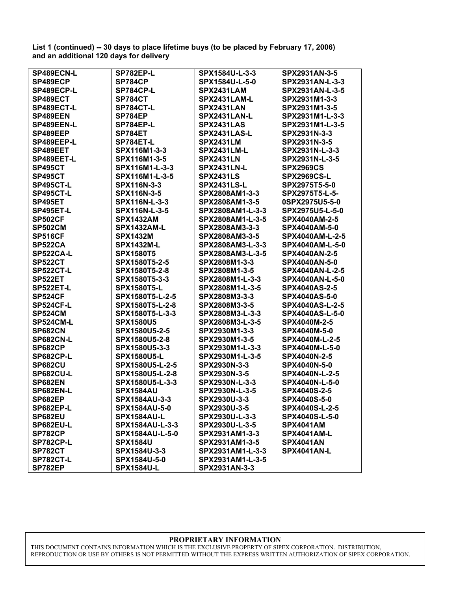**List 1 (continued) -- 30 days to place lifetime buys (to be placed by February 17, 2006) and an additional 120 days for delivery** 

| SP489ECN-L       | SP782EP-L              | SPX1584U-L-3-3     | SPX2931AN-3-5          |
|------------------|------------------------|--------------------|------------------------|
| SP489ECP         | <b>SP784CP</b>         | SPX1584U-L-5-0     | SPX2931AN-L-3-3        |
| SP489ECP-L       | <b>SP784CP-L</b>       | SPX2431LAM         | SPX2931AN-L-3-5        |
| SP489ECT         | <b>SP784CT</b>         | SPX2431LAM-L       | SPX2931M1-3-3          |
| SP489ECT-L       | <b>SP784CT-L</b>       | SPX2431LAN         | SPX2931M1-3-5          |
| SP489EEN         | SP784EP                | SPX2431LAN-L       | SPX2931M1-L-3-3        |
| SP489EEN-L       | SP784EP-L              | SPX2431LAS         | SPX2931M1-L-3-5        |
| SP489EEP         | SP784ET                | SPX2431LAS-L       | SPX2931N-3-3           |
| SP489EEP-L       | SP784ET-L              | <b>SPX2431LM</b>   | SPX2931N-3-5           |
| SP489EET         | SPX116M1-3-3           | <b>SPX2431LM-L</b> | SPX2931N-L-3-3         |
| SP489EET-L       | SPX116M1-3-5           | <b>SPX2431LN</b>   | SPX2931N-L-3-5         |
| <b>SP495CT</b>   | SPX116M1-L-3-3         | <b>SPX2431LN-L</b> | <b>SPX2969CS</b>       |
| <b>SP495CT</b>   | SPX116M1-L-3-5         | <b>SPX2431LS</b>   | <b>SPX2969CS-L</b>     |
| <b>SP495CT-L</b> | SPX116N-3-3            | <b>SPX2431LS-L</b> | SPX2975T5-5-0          |
| <b>SP495CT-L</b> | SPX116N-3-5            | SPX2808AM1-3-3     | SPX2975T5-L-5-         |
| <b>SP495ET</b>   | SPX116N-L-3-3          | SPX2808AM1-3-5     | 0SPX2975U5-5-0         |
| <b>SP495ET-L</b> | SPX116N-L-3-5          | SPX2808AM1-L-3-3   | SPX2975U5-L-5-0        |
| <b>SP502CF</b>   | <b>SPX1432AM</b>       | SPX2808AM1-L-3-5   | SPX4040AM-2-5          |
| <b>SP502CM</b>   | <b>SPX1432AM-L</b>     | SPX2808AM3-3-3     | SPX4040AM-5-0          |
| <b>SP516CF</b>   | <b>SPX1432M</b>        | SPX2808AM3-3-5     | SPX4040AM-L-2-5        |
| <b>SP522CA</b>   | <b>SPX1432M-L</b>      | SPX2808AM3-L-3-3   | <b>SPX4040AM-L-5-0</b> |
| <b>SP522CA-L</b> | <b>SPX1580T5</b>       | SPX2808AM3-L-3-5   | <b>SPX4040AN-2-5</b>   |
| <b>SP522CT</b>   | SPX1580T5-2-5          | SPX2808M1-3-3      | <b>SPX4040AN-5-0</b>   |
| <b>SP522CT-L</b> | SPX1580T5-2-8          | SPX2808M1-3-5      | <b>SPX4040AN-L-2-5</b> |
| <b>SP522ET</b>   | SPX1580T5-3-3          | SPX2808M1-L-3-3    | SPX4040AN-L-5-0        |
| <b>SP522ET-L</b> | <b>SPX1580T5-L</b>     | SPX2808M1-L-3-5    | <b>SPX4040AS-2-5</b>   |
| <b>SP524CF</b>   | SPX1580T5-L-2-5        | SPX2808M3-3-3      | <b>SPX4040AS-5-0</b>   |
| <b>SP524CF-L</b> | SPX1580T5-L-2-8        | SPX2808M3-3-5      | <b>SPX4040AS-L-2-5</b> |
| <b>SP524CM</b>   | SPX1580T5-L-3-3        | SPX2808M3-L-3-3    | <b>SPX4040AS-L-5-0</b> |
| <b>SP524CM-L</b> | <b>SPX1580U5</b>       | SPX2808M3-L-3-5    | SPX4040M-2-5           |
| <b>SP682CN</b>   | SPX1580U5-2-5          | SPX2930M1-3-3      | SPX4040M-5-0           |
| <b>SP682CN-L</b> | SPX1580U5-2-8          | SPX2930M1-3-5      | SPX4040M-L-2-5         |
| <b>SP682CP</b>   | SPX1580U5-3-3          | SPX2930M1-L-3-3    | SPX4040M-L-5-0         |
| <b>SP682CP-L</b> | <b>SPX1580U5-L</b>     | SPX2930M1-L-3-5    | SPX4040N-2-5           |
| <b>SP682CU</b>   | SPX1580U5-L-2-5        | SPX2930N-3-3       | SPX4040N-5-0           |
| <b>SP682CU-L</b> | SPX1580U5-L-2-8        | SPX2930N-3-5       | SPX4040N-L-2-5         |
| <b>SP682EN</b>   | SPX1580U5-L-3-3        | SPX2930N-L-3-3     | SPX4040N-L-5-0         |
| <b>SP682EN-L</b> | <b>SPX1584AU</b>       | SPX2930N-L-3-5     | SPX4040S-2-5           |
| <b>SP682EP</b>   | SPX1584AU-3-3          | SPX2930U-3-3       | SPX4040S-5-0           |
| <b>SP682EP-L</b> | SPX1584AU-5-0          | SPX2930U-3-5       | SPX4040S-L-2-5         |
| SP682EU          | <b>SPX1584AU-L</b>     | SPX2930U-L-3-3     | SPX4040S-L-5-0         |
| <b>SP682EU-L</b> | SPX1584AU-L-3-3        | SPX2930U-L-3-5     | <b>SPX4041AM</b>       |
| <b>SP782CP</b>   | <b>SPX1584AU-L-5-0</b> | SPX2931AM1-3-3     | SPX4041AM-L            |
| <b>SP782CP-L</b> | <b>SPX1584U</b>        | SPX2931AM1-3-5     | <b>SPX4041AN</b>       |
| <b>SP782CT</b>   | SPX1584U-3-3           | SPX2931AM1-L-3-3   | <b>SPX4041AN-L</b>     |
| <b>SP782CT-L</b> | SPX1584U-5-0           | SPX2931AM1-L-3-5   |                        |
| SP782EP          | <b>SPX1584U-L</b>      | SPX2931AN-3-3      |                        |

#### **PROPRIETARY INFORMATION**